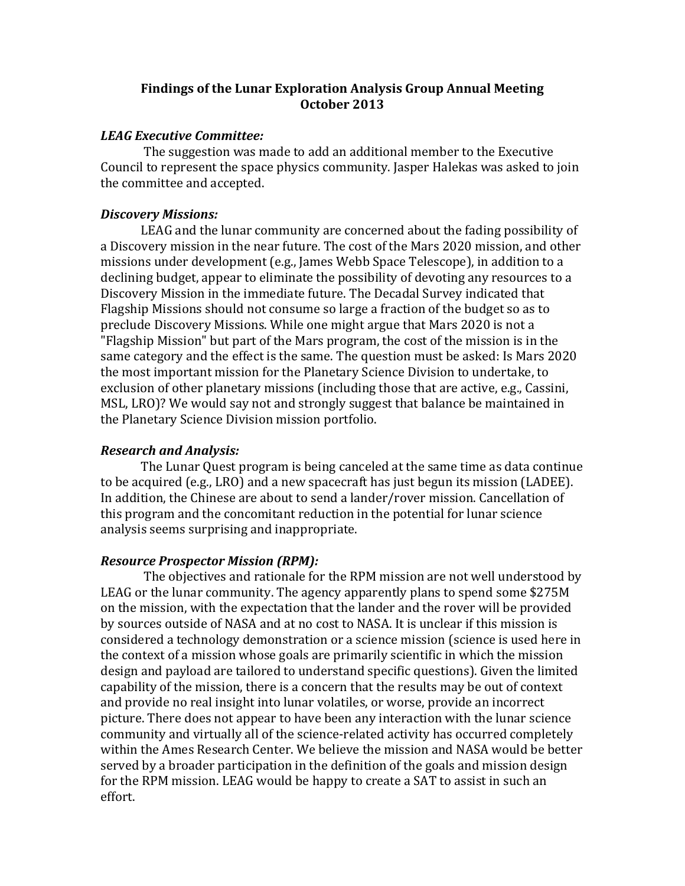# **Findings of the Lunar Exploration Analysis Group Annual Meeting October 2013**

## *LEAG Executive Committee:*

The suggestion was made to add an additional member to the Executive Council to represent the space physics community. Jasper Halekas was asked to join the committee and accepted.

## *Discovery Missions:*

LEAG and the lunar community are concerned about the fading possibility of a Discovery mission in the near future. The cost of the Mars 2020 mission, and other missions under development (e.g., James Webb Space Telescope), in addition to a declining budget, appear to eliminate the possibility of devoting any resources to a Discovery Mission in the immediate future. The Decadal Survey indicated that Flagship Missions should not consume so large a fraction of the budget so as to preclude Discovery Missions. While one might argue that Mars 2020 is not a "Flagship Mission" but part of the Mars program, the cost of the mission is in the same category and the effect is the same. The question must be asked: Is Mars 2020 the most important mission for the Planetary Science Division to undertake, to exclusion of other planetary missions (including those that are active, e.g., Cassini, MSL, LRO)? We would say not and strongly suggest that balance be maintained in the Planetary Science Division mission portfolio.

# *Research and Analysis:*

The Lunar Quest program is being canceled at the same time as data continue to be acquired (e.g., LRO) and a new spacecraft has just begun its mission (LADEE). In addition, the Chinese are about to send a lander/rover mission. Cancellation of this program and the concomitant reduction in the potential for lunar science analysis seems surprising and inappropriate.

# *Resource Prospector Mission (RPM):*

The objectives and rationale for the RPM mission are not well understood by LEAG or the lunar community. The agency apparently plans to spend some \$275M on the mission, with the expectation that the lander and the rover will be provided by sources outside of NASA and at no cost to NASA. It is unclear if this mission is considered a technology demonstration or a science mission (science is used here in the context of a mission whose goals are primarily scientific in which the mission design and payload are tailored to understand specific questions). Given the limited capability of the mission, there is a concern that the results may be out of context and provide no real insight into lunar volatiles, or worse, provide an incorrect picture. There does not appear to have been any interaction with the lunar science community and virtually all of the science-related activity has occurred completely within the Ames Research Center. We believe the mission and NASA would be better served by a broader participation in the definition of the goals and mission design for the RPM mission. LEAG would be happy to create a SAT to assist in such an effort.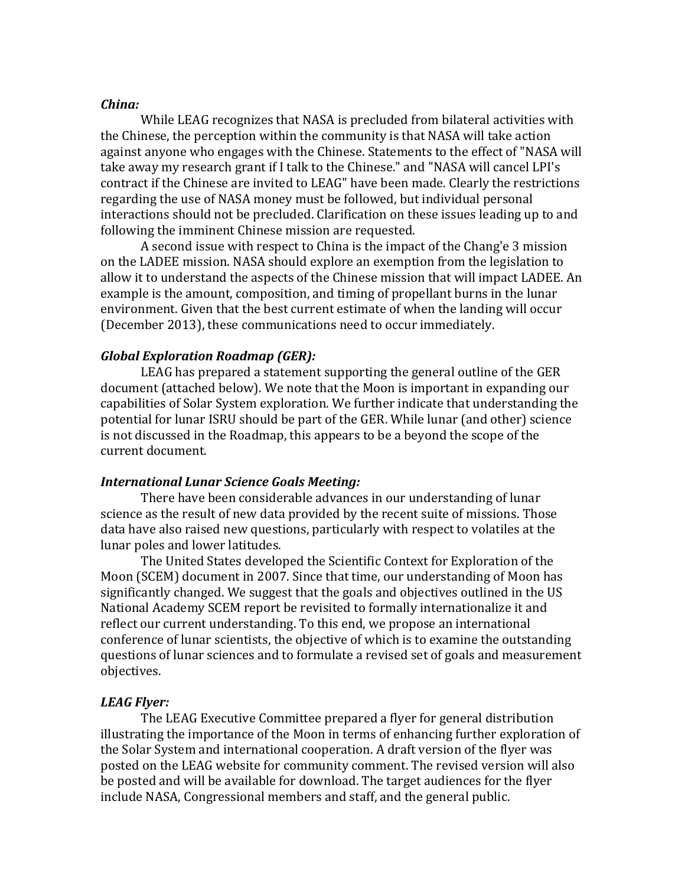#### *China:*

While LEAG recognizes that NASA is precluded from bilateral activities with the Chinese, the perception within the community is that NASA will take action against anyone who engages with the Chinese. Statements to the effect of "NASA will take away my research grant if I talk to the Chinese." and "NASA will cancel LPI's contract if the Chinese are invited to LEAG" have been made. Clearly the restrictions regarding the use of NASA money must be followed, but individual personal interactions should not be precluded. Clarification on these issues leading up to and following the imminent Chinese mission are requested.

A second issue with respect to China is the impact of the Chang'e 3 mission on the LADEE mission. NASA should explore an exemption from the legislation to allow it to understand the aspects of the Chinese mission that will impact LADEE. An example is the amount, composition, and timing of propellant burns in the lunar environment. Given that the best current estimate of when the landing will occur (December 2013), these communications need to occur immediately.

#### *Global Exploration Roadmap (GER):*

LEAG has prepared a statement supporting the general outline of the GER document (attached below). We note that the Moon is important in expanding our capabilities of Solar System exploration. We further indicate that understanding the potential for lunar ISRU should be part of the GER. While lunar (and other) science is not discussed in the Roadmap, this appears to be a beyond the scope of the current document.

#### **International Lunar Science Goals Meeting:**

There have been considerable advances in our understanding of lunar science as the result of new data provided by the recent suite of missions. Those data have also raised new questions, particularly with respect to volatiles at the lunar poles and lower latitudes.

The United States developed the Scientific Context for Exploration of the Moon (SCEM) document in 2007. Since that time, our understanding of Moon has significantly changed. We suggest that the goals and objectives outlined in the US National Academy SCEM report be revisited to formally internationalize it and reflect our current understanding. To this end, we propose an international conference of lunar scientists, the objective of which is to examine the outstanding questions of lunar sciences and to formulate a revised set of goals and measurement objectives.

#### *LEAG Flyer:*

The LEAG Executive Committee prepared a flyer for general distribution illustrating the importance of the Moon in terms of enhancing further exploration of the Solar System and international cooperation. A draft version of the flyer was posted on the LEAG website for community comment. The revised version will also be posted and will be available for download. The target audiences for the flyer include NASA, Congressional members and staff, and the general public.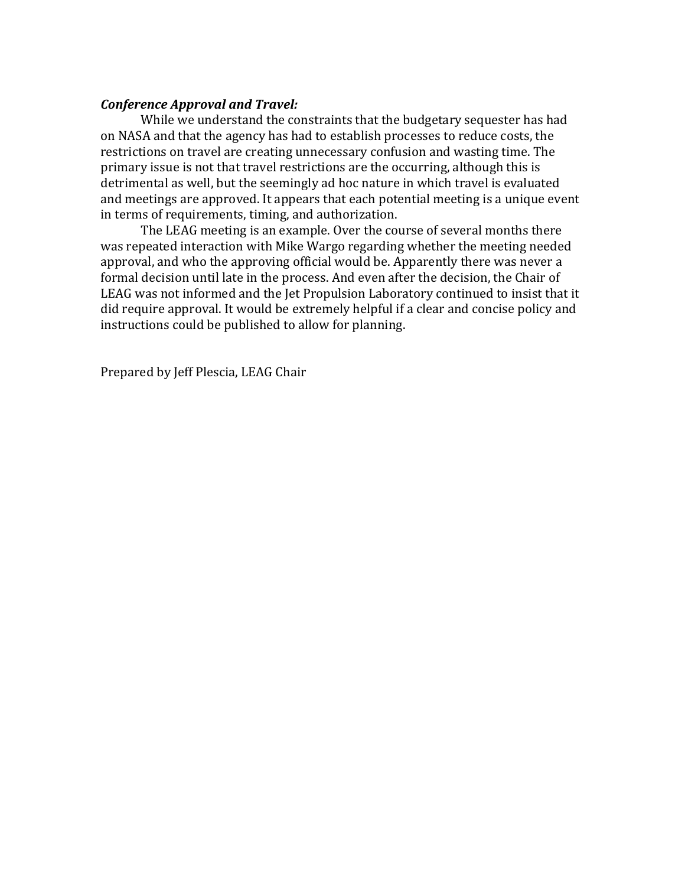### *Conference Approval and Travel:*

While we understand the constraints that the budgetary sequester has had on NASA and that the agency has had to establish processes to reduce costs, the restrictions on travel are creating unnecessary confusion and wasting time. The primary issue is not that travel restrictions are the occurring, although this is detrimental as well, but the seemingly ad hoc nature in which travel is evaluated and meetings are approved. It appears that each potential meeting is a unique event in terms of requirements, timing, and authorization.

The LEAG meeting is an example. Over the course of several months there was repeated interaction with Mike Wargo regarding whether the meeting needed approval, and who the approving official would be. Apparently there was never a formal decision until late in the process. And even after the decision, the Chair of LEAG was not informed and the Jet Propulsion Laboratory continued to insist that it did require approval. It would be extremely helpful if a clear and concise policy and instructions could be published to allow for planning.

Prepared by Jeff Plescia, LEAG Chair